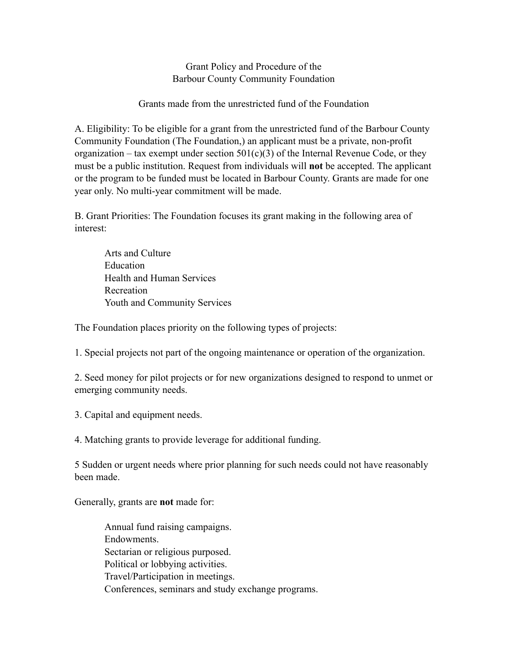Grant Policy and Procedure of the Barbour County Community Foundation

Grants made from the unrestricted fund of the Foundation

A. Eligibility: To be eligible for a grant from the unrestricted fund of the Barbour County Community Foundation (The Foundation,) an applicant must be a private, non-profit organization – tax exempt under section  $501(c)(3)$  of the Internal Revenue Code, or they must be a public institution. Request from individuals will **not** be accepted. The applicant or the program to be funded must be located in Barbour County. Grants are made for one year only. No multi-year commitment will be made.

B. Grant Priorities: The Foundation focuses its grant making in the following area of interest:

 Arts and Culture **Education**  Health and Human Services Recreation Youth and Community Services

The Foundation places priority on the following types of projects:

1. Special projects not part of the ongoing maintenance or operation of the organization.

2. Seed money for pilot projects or for new organizations designed to respond to unmet or emerging community needs.

3. Capital and equipment needs.

4. Matching grants to provide leverage for additional funding.

5 Sudden or urgent needs where prior planning for such needs could not have reasonably been made.

Generally, grants are **not** made for:

 Annual fund raising campaigns. Endowments. Sectarian or religious purposed. Political or lobbying activities. Travel/Participation in meetings. Conferences, seminars and study exchange programs.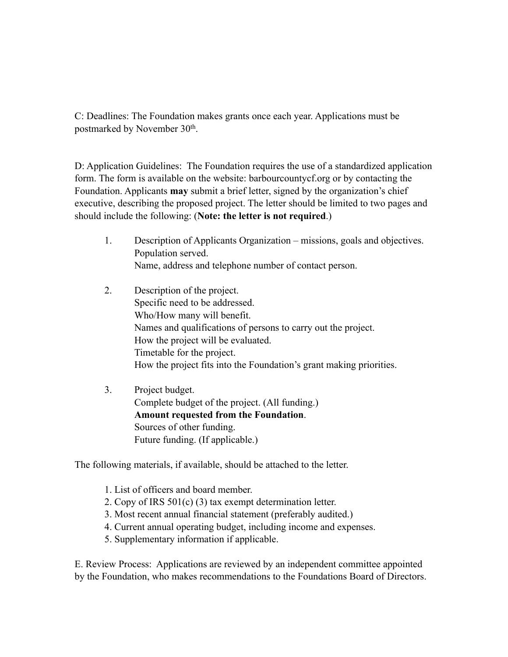C: Deadlines: The Foundation makes grants once each year. Applications must be postmarked by November 30th.

D: Application Guidelines: The Foundation requires the use of a standardized application form. The form is available on the website: barbourcountycf.org or by contacting the Foundation. Applicants **may** submit a brief letter, signed by the organization's chief executive, describing the proposed project. The letter should be limited to two pages and should include the following: (**Note: the letter is not required**.)

- 1. Description of Applicants Organization missions, goals and objectives. Population served. Name, address and telephone number of contact person.
- 2. Description of the project. Specific need to be addressed. Who/How many will benefit. Names and qualifications of persons to carry out the project. How the project will be evaluated. Timetable for the project. How the project fits into the Foundation's grant making priorities.
- 3. Project budget. Complete budget of the project. (All funding.) **Amount requested from the Foundation**. Sources of other funding. Future funding. (If applicable.)

The following materials, if available, should be attached to the letter.

- 1. List of officers and board member.
- 2. Copy of IRS 501(c) (3) tax exempt determination letter.
- 3. Most recent annual financial statement (preferably audited.)
- 4. Current annual operating budget, including income and expenses.
- 5. Supplementary information if applicable.

E. Review Process: Applications are reviewed by an independent committee appointed by the Foundation, who makes recommendations to the Foundations Board of Directors.